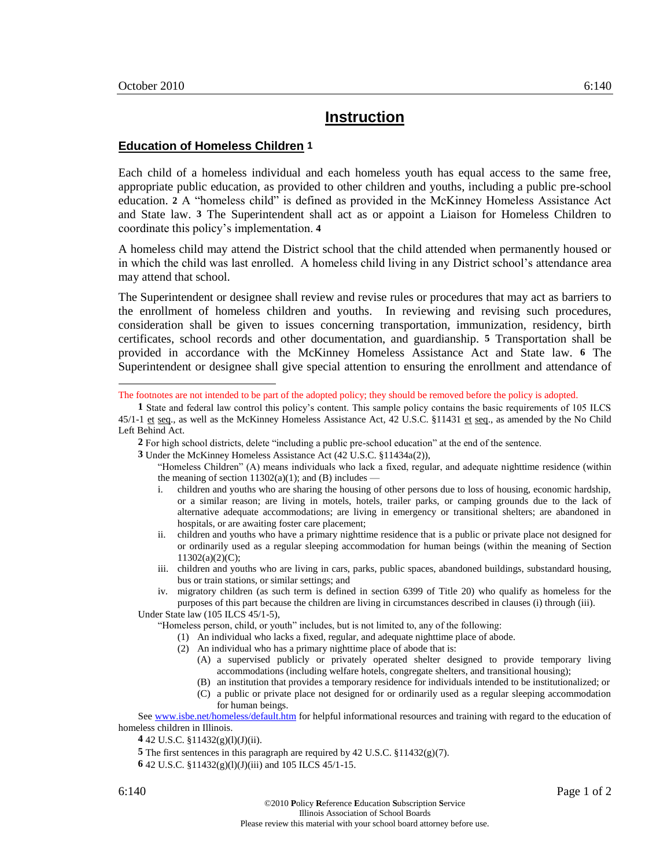l

## **Instruction**

## **Education of Homeless Children 1**

Each child of a homeless individual and each homeless youth has equal access to the same free, appropriate public education, as provided to other children and youths, including a public pre-school education. **2** A "homeless child" is defined as provided in the McKinney Homeless Assistance Act and State law. **3** The Superintendent shall act as or appoint a Liaison for Homeless Children to coordinate this policy's implementation. **4**

A homeless child may attend the District school that the child attended when permanently housed or in which the child was last enrolled. A homeless child living in any District school's attendance area may attend that school.

The Superintendent or designee shall review and revise rules or procedures that may act as barriers to the enrollment of homeless children and youths. In reviewing and revising such procedures, consideration shall be given to issues concerning transportation, immunization, residency, birth certificates, school records and other documentation, and guardianship. **5** Transportation shall be provided in accordance with the McKinney Homeless Assistance Act and State law. **6** The Superintendent or designee shall give special attention to ensuring the enrollment and attendance of

The footnotes are not intended to be part of the adopted policy; they should be removed before the policy is adopted.

**1** State and federal law control this policy's content. This sample policy contains the basic requirements of 105 ILCS 45/1-1 et seq., as well as the McKinney Homeless Assistance Act, 42 U.S.C. §11431 et seq., as amended by the No Child Left Behind Act.

**2** For high school districts, delete "including a public pre-school education" at the end of the sentence.

**3** Under the McKinney Homeless Assistance Act (42 U.S.C. §11434a(2)),

"Homeless Children" (A) means individuals who lack a fixed, regular, and adequate nighttime residence (within the meaning of section  $11302(a)(1)$ ; and (B) includes —

- i. children and youths who are sharing the housing of other persons due to loss of housing, economic hardship, or a similar reason; are living in motels, hotels, trailer parks, or camping grounds due to the lack of alternative adequate accommodations; are living in emergency or transitional shelters; are abandoned in hospitals, or are awaiting foster care placement;
- ii. children and youths who have a primary nighttime residence that is a public or private place not designed for or ordinarily used as a regular sleeping accommodation for human beings (within the meaning of Section 11302(a)(2)(C);
- iii. children and youths who are living in cars, parks, public spaces, abandoned buildings, substandard housing, bus or train stations, or similar settings; and
- iv. migratory children (as such term is defined in section 6399 of Title 20) who qualify as homeless for the purposes of this part because the children are living in circumstances described in clauses (i) through (iii).

Under State law (105 ILCS 45/1-5), "Homeless person, child, or youth" includes, but is not limited to, any of the following:

- - (1) An individual who lacks a fixed, regular, and adequate nighttime place of abode.
	- (2) An individual who has a primary nighttime place of abode that is:
		- (A) a supervised publicly or privately operated shelter designed to provide temporary living accommodations (including welfare hotels, congregate shelters, and transitional housing);
		- (B) an institution that provides a temporary residence for individuals intended to be institutionalized; or (C) a public or private place not designed for or ordinarily used as a regular sleeping accommodation for human beings.

Se[e www.isbe.net/homeless/default.htm](http://www.isbe.net/homeless/default.htm) for helpful informational resources and training with regard to the education of homeless children in Illinois.

**4** 42 U.S.C. §11432(g)(l)(J)(ii).

**5** The first sentences in this paragraph are required by 42 U.S.C. §11432(g)(7).

**6** 42 U.S.C. §11432(g)(l)(J)(iii) and 105 ILCS 45/1-15.